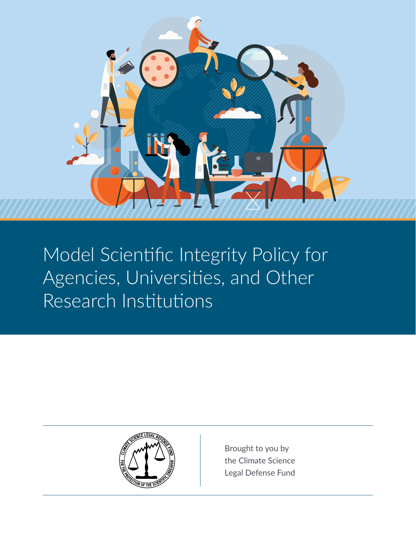

Model Scientific Integrity Policy for Agencies, Universities, and Other Research Institutions



Brought to you by the Climate Science Legal Defense Fund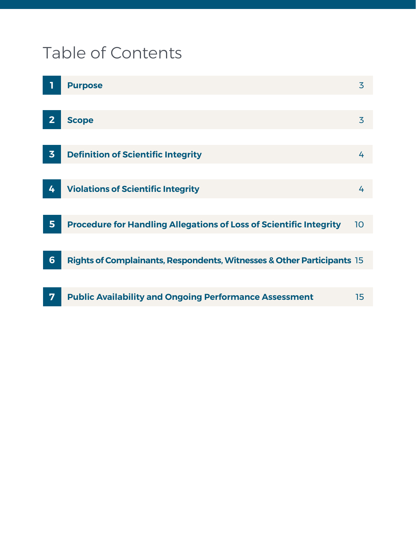# Table of Contents

|                 | <b>Purpose</b>                                                            | 3  |
|-----------------|---------------------------------------------------------------------------|----|
|                 |                                                                           |    |
| $\overline{2}$  | <b>Scope</b>                                                              | 3  |
|                 |                                                                           |    |
| $\overline{3}$  | <b>Definition of Scientific Integrity</b>                                 | 4  |
|                 |                                                                           |    |
| 4               | <b>Violations of Scientific Integrity</b>                                 | 4  |
|                 |                                                                           |    |
| 5               | <b>Procedure for Handling Allegations of Loss of Scientific Integrity</b> | 10 |
|                 |                                                                           |    |
| $6\phantom{1}6$ | Rights of Complainants, Respondents, Witnesses & Other Participants 15    |    |
|                 |                                                                           |    |
| 7               | <b>Public Availability and Ongoing Performance Assessment</b>             | 15 |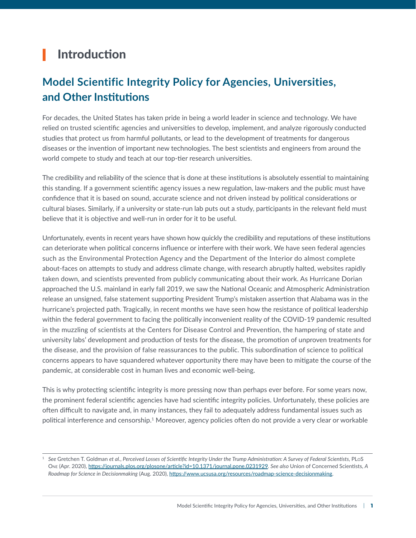## Introduction

## **Model Scientific Integrity Policy for Agencies, Universities, and Other Institutions**

For decades, the United States has taken pride in being a world leader in science and technology. We have relied on trusted scientific agencies and universities to develop, implement, and analyze rigorously conducted studies that protect us from harmful pollutants, or lead to the development of treatments for dangerous diseases or the invention of important new technologies. The best scientists and engineers from around the world compete to study and teach at our top-tier research universities.

The credibility and reliability of the science that is done at these institutions is absolutely essential to maintaining this standing. If a government scientific agency issues a new regulation, law-makers and the public must have confidence that it is based on sound, accurate science and not driven instead by political considerations or cultural biases. Similarly, if a university or state-run lab puts out a study, participants in the relevant field must believe that it is objective and well-run in order for it to be useful.

Unfortunately, events in recent years have shown how quickly the credibility and reputations of these institutions can deteriorate when political concerns influence or interfere with their work. We have seen federal agencies such as the Environmental Protection Agency and the Department of the Interior do almost complete about-faces on attempts to study and address climate change, with research abruptly halted, websites rapidly taken down, and scientists prevented from publicly communicating about their work. As Hurricane Dorian approached the U.S. mainland in early fall 2019, we saw the National Oceanic and Atmospheric Administration release an unsigned, false statement supporting President Trump's mistaken assertion that Alabama was in the hurricane's projected path. Tragically, in recent months we have seen how the resistance of political leadership within the federal government to facing the politically inconvenient reality of the COVID-19 pandemic resulted in the muzzling of scientists at the Centers for Disease Control and Prevention, the hampering of state and university labs' development and production of tests for the disease, the promotion of unproven treatments for the disease, and the provision of false reassurances to the public. This subordination of science to political concerns appears to have squandered whatever opportunity there may have been to mitigate the course of the pandemic, at considerable cost in human lives and economic well-being.

This is why protecting scientific integrity is more pressing now than perhaps ever before. For some years now, the prominent federal scientific agencies have had scientific integrity policies. Unfortunately, these policies are often difficult to navigate and, in many instances, they fail to adequately address fundamental issues such as political interference and censorship.<sup>1</sup> Moreover, agency policies often do not provide a very clear or workable

<sup>1</sup> *See* Gretchen T. Goldman *et al.*, *Perceived Losses of Scientific Integrity Under the Trump Administration: A Survey of Federal Scientists,* PLoS One (Apr. 2020),<https://journals.plos.org/plosone/article?id=10.1371/journal.pone.0231929>*. See also* Union of Concerned Scientists, *A Roadmap for Science in Decisionmaking* (Aug. 2020),<https://www.ucsusa.org/resources/roadmap-science-decisionmaking>.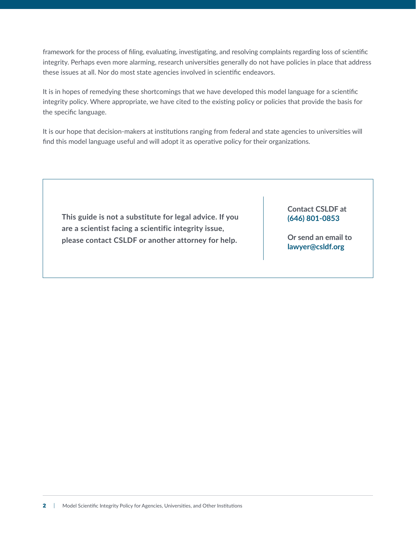framework for the process of filing, evaluating, investigating, and resolving complaints regarding loss of scientific integrity. Perhaps even more alarming, research universities generally do not have policies in place that address these issues at all. Nor do most state agencies involved in scientific endeavors.

It is in hopes of remedying these shortcomings that we have developed this model language for a scientific integrity policy. Where appropriate, we have cited to the existing policy or policies that provide the basis for the specific language.

It is our hope that decision-makers at institutions ranging from federal and state agencies to universities will find this model language useful and will adopt it as operative policy for their organizations.

**This guide is not a substitute for legal advice. If you are a scientist facing a scientific integrity issue, please contact CSLDF or another attorney for help.** 

#### **Contact CSLDF at (646) 801-0853**

**Or send an email to [lawyer@csldf.org](mailto:lawyer%40csldf.org?subject=)**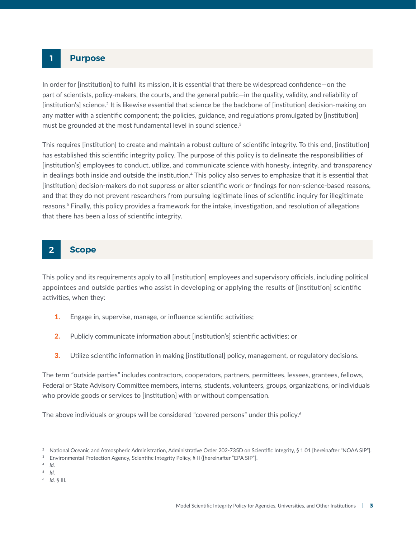#### <span id="page-4-0"></span>**1 Purpose**

In order for [institution] to fulfill its mission, it is essential that there be widespread confidence—on the part of scientists, policy-makers, the courts, and the general public—in the quality, validity, and reliability of [institution's] science.<sup>2</sup> It is likewise essential that science be the backbone of [institution] decision-making on any matter with a scientific component; the policies, guidance, and regulations promulgated by [institution] must be grounded at the most fundamental level in sound science.<sup>3</sup>

This requires [institution] to create and maintain a robust culture of scientific integrity. To this end, [institution] has established this scientific integrity policy. The purpose of this policy is to delineate the responsibilities of [institution's] employees to conduct, utilize, and communicate science with honesty, integrity, and transparency in dealings both inside and outside the institution.<sup>4</sup> This policy also serves to emphasize that it is essential that [institution] decision-makers do not suppress or alter scientific work or findings for non-science-based reasons, and that they do not prevent researchers from pursuing legitimate lines of scientific inquiry for illegitimate reasons.5 Finally, this policy provides a framework for the intake, investigation, and resolution of allegations that there has been a loss of scientific integrity.

#### **2 Scope**

This policy and its requirements apply to all [institution] employees and supervisory officials, including political appointees and outside parties who assist in developing or applying the results of [institution] scientific activities, when they:

- 1. Engage in, supervise, manage, or influence scientific activities;
- 2. Publicly communicate information about [institution's] scientific activities; or
- **3.** Utilize scientific information in making [institutional] policy, management, or regulatory decisions.

The term "outside parties" includes contractors, cooperators, partners, permittees, lessees, grantees, fellows, Federal or State Advisory Committee members, interns, students, volunteers, groups, organizations, or individuals who provide goods or services to [institution] with or without compensation.

The above individuals or groups will be considered "covered persons" under this policy.<sup>6</sup>

- <sup>5</sup> *Id.*
- 6 *Id.* § III.

<sup>2</sup> National Oceanic and Atmospheric Administration, Administrative Order 202-735D on Scientific Integrity, § 1.01 [hereinafter "NOAA SIP"].

<sup>&</sup>lt;sup>3</sup> Environmental Protection Agency, Scientific Integrity Policy, § II ([hereinafter "EPA SIP"].

<sup>4</sup> *Id.*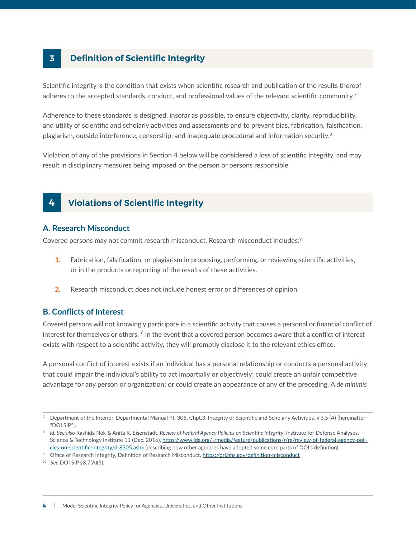## <span id="page-5-0"></span>**3 Definition of Scientific Integrity**

Scientific integrity is the condition that exists when scientific research and publication of the results thereof adheres to the accepted standards, conduct, and professional values of the relevant scientific community.<sup>7</sup>

Adherence to these standards is designed, insofar as possible, to ensure objectivity, clarity, reproducibility, and utility of scientific and scholarly activities and assessments and to prevent bias, fabrication, falsification, plagiarism, outside interference, censorship, and inadequate procedural and information security.<sup>8</sup>

Violation of any of the provisions in Section 4 below will be considered a loss of scientific integrity, and may result in disciplinary measures being imposed on the person or persons responsible.

## **4 Violations of Scientific Integrity**

#### **A. Research Misconduct**

Covered persons may not commit research misconduct. Research misconduct includes:<sup>9</sup>

- 1. Fabrication, falsification, or plagiarism in proposing, performing, or reviewing scientific activities, or in the products or reporting of the results of these activities.
- 2. Research misconduct does not include honest error or differences of opinion.

#### **B. Conflicts of Interest**

Covered persons will not knowingly participate in a scientific activity that causes a personal or financial conflict of interest for themselves or others.<sup>10</sup> In the event that a covered person becomes aware that a conflict of interest exists with respect to a scientific activity, they will promptly disclose it to the relevant ethics office.

A personal conflict of interest exists if an individual has a personal relationship or conducts a personal activity that could impair the individual's ability to act impartially or objectively; could create an unfair competitive advantage for any person or organization; or could create an appearance of any of the preceding. A *de minimis*

<sup>7</sup> Department of the Interior, Departmental Manual Pt. 305, Chpt.3, Integrity of Scientific and Scholarly Activities, § 3.5 (A) [hereinafter "DOI SIP"].

<sup>&</sup>lt;sup>8</sup> Id. See also Rashida Nek & Anita R. Eisenstadt, Review of Federal Agency Policies on Scientific Integrity, Institute for Defense Analyses, Science & Technology Institute 11 (Dec. 2016), [https://www.ida.org/-/media/feature/publications/r/re/review-of-federal-agency-poli](https://www.ida.org/-/media/feature/publications/r/re/review-of-federal-agency-policies-on-scientific-integrity/d-8305.ashx)[cies-on-scientific-integrity/d-8305.ashx](https://www.ida.org/-/media/feature/publications/r/re/review-of-federal-agency-policies-on-scientific-integrity/d-8305.ashx) (describing how other agencies have adopted some core parts of DOI's definition).

<sup>&</sup>lt;sup>9</sup> Office of Research Integrity, Definition of Research Misconduct,<https://ori.hhs.gov/definition-misconduct>

<sup>10</sup> *See* DOI SIP §3.7(A)(5).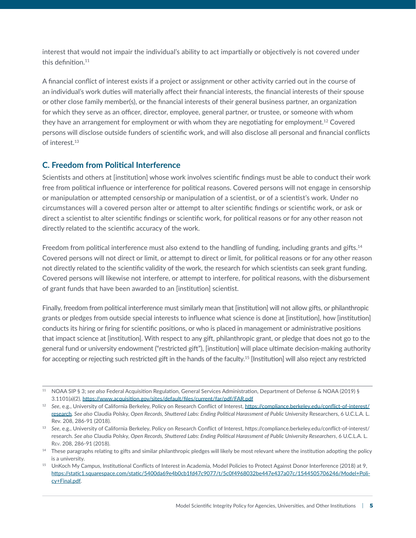interest that would not impair the individual's ability to act impartially or objectively is not covered under this definition.<sup>11</sup>

A financial conflict of interest exists if a project or assignment or other activity carried out in the course of an individual's work duties will materially affect their financial interests, the financial interests of their spouse or other close family member(s), or the financial interests of their general business partner, an organization for which they serve as an officer, director, employee, general partner, or trustee, or someone with whom they have an arrangement for employment or with whom they are negotiating for employment.<sup>12</sup> Covered persons will disclose outside funders of scientific work, and will also disclose all personal and financial conflicts of interest.13

#### **C. Freedom from Political Interference**

Scientists and others at [institution] whose work involves scientific findings must be able to conduct their work free from political influence or interference for political reasons. Covered persons will not engage in censorship or manipulation or attempted censorship or manipulation of a scientist, or of a scientist's work. Under no circumstances will a covered person alter or attempt to alter scientific findings or scientific work, or ask or direct a scientist to alter scientific findings or scientific work, for political reasons or for any other reason not directly related to the scientific accuracy of the work.

Freedom from political interference must also extend to the handling of funding, including grants and gifts.<sup>14</sup> Covered persons will not direct or limit, or attempt to direct or limit, for political reasons or for any other reason not directly related to the scientific validity of the work, the research for which scientists can seek grant funding. Covered persons will likewise not interfere, or attempt to interfere, for political reasons, with the disbursement of grant funds that have been awarded to an [institution] scientist.

Finally, freedom from political interference must similarly mean that [institution] will not allow gifts, or philanthropic grants or pledges from outside special interests to influence what science is done at [institution], how [institution] conducts its hiring or firing for scientific positions, or who is placed in management or administrative positions that impact science at [institution]. With respect to any gift, philanthropic grant, or pledge that does not go to the general fund or university endowment ("restricted gift"), [institution] will place ultimate decision-making authority for accepting or rejecting such restricted gift in the hands of the faculty.<sup>15</sup> [Institution] will also reject any restricted

<sup>11</sup> NOAA SIP § 3; *see also* Federal Acquisition Regulation, General Services Administration, Department of Defense & NOAA (2019) § 3.1101(a)(2), <https://www.acquisition.gov/sites/default/files/current/far/pdf/FAR.pdf>

<sup>12</sup> *See*, e.g., University of California Berkeley, Policy on Research Conflict of Interest, [https://compliance.berkeley.edu/conflict-of-interest/](https://compliance.berkeley.edu/conflict-of-interest/research) [research](https://compliance.berkeley.edu/conflict-of-interest/research). *See also* Claudia Polsky, *Open Records, Shuttered Labs: Ending Political Harassment of Public University* Researchers, 6 U.C.L.A. L. Rev. 208, 286-91 (2018).

<sup>13</sup> *See*, e.g., University of California Berkeley, Policy on Research Conflict of Interest, https://compliance.berkeley.edu/conflict-of-interest/ research. *See also* Claudia Polsky, *Open Records, Shuttered Labs: Ending Political Harassment of Public University Researchers*, 6 U.C.L.A. L. Rev. 208, 286-91 (2018).

<sup>&</sup>lt;sup>14</sup> These paragraphs relating to gifts and similar philanthropic pledges will likely be most relevant where the institution adopting the policy is a university.

<sup>&</sup>lt;sup>15</sup> UnKoch My Campus, Institutional Conflicts of Interest in Academia, Model Policies to Protect Against Donor Interference (2018) at 9, [https://static1.squarespace.com/static/5400da69e4b0cb1fd47c9077/t/5c0f4968032be447e437a07c/1544505706246/Model+Poli](https://static1.squarespace.com/static/5400da69e4b0cb1fd47c9077/t/5c0f4968032be447e437a07c/1544505706246/Model+Policy+Final.pdf)[cy+Final.pdf.](https://static1.squarespace.com/static/5400da69e4b0cb1fd47c9077/t/5c0f4968032be447e437a07c/1544505706246/Model+Policy+Final.pdf)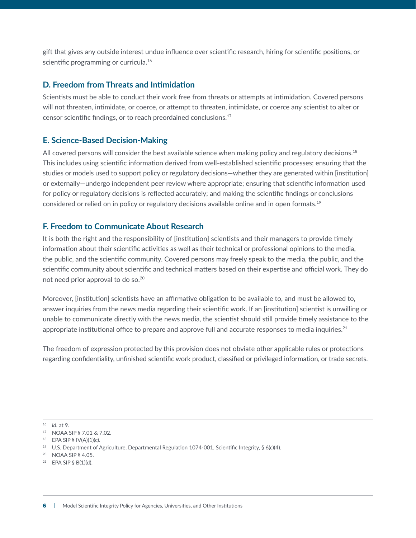gift that gives any outside interest undue influence over scientific research, hiring for scientific positions, or scientific programming or curricula.<sup>16</sup>

#### **D. Freedom from Threats and Intimidation**

Scientists must be able to conduct their work free from threats or attempts at intimidation. Covered persons will not threaten, intimidate, or coerce, or attempt to threaten, intimidate, or coerce any scientist to alter or censor scientific findings, or to reach preordained conclusions.17

#### **E. Science-Based Decision-Making**

All covered persons will consider the best available science when making policy and regulatory decisions.<sup>18</sup> This includes using scientific information derived from well-established scientific processes; ensuring that the studies or models used to support policy or regulatory decisions—whether they are generated within [institution] or externally—undergo independent peer review where appropriate; ensuring that scientific information used for policy or regulatory decisions is reflected accurately; and making the scientific findings or conclusions considered or relied on in policy or regulatory decisions available online and in open formats.19

#### **F. Freedom to Communicate About Research**

It is both the right and the responsibility of [institution] scientists and their managers to provide timely information about their scientific activities as well as their technical or professional opinions to the media, the public, and the scientific community. Covered persons may freely speak to the media, the public, and the scientific community about scientific and technical matters based on their expertise and official work. They do not need prior approval to do so.20

Moreover, [institution] scientists have an affirmative obligation to be available to, and must be allowed to, answer inquiries from the news media regarding their scientific work. If an [institution] scientist is unwilling or unable to communicate directly with the news media, the scientist should still provide timely assistance to the appropriate institutional office to prepare and approve full and accurate responses to media inquiries.<sup>21</sup>

The freedom of expression protected by this provision does not obviate other applicable rules or protections regarding confidentiality, unfinished scientific work product, classified or privileged information, or trade secrets.

16 *Id*. at 9.

<sup>17</sup> NOAA SIP § 7.01 & 7.02.

 $18$  EPA SIP § IV(A)(1)(c).

<sup>19</sup> U.S. Department of Agriculture, Departmental Regulation 1074-001, Scientific Integrity, § 6(c)(4).

<sup>20</sup> NOAA SIP § 4.05.

<sup>21</sup> EPA SIP § B(1)(d).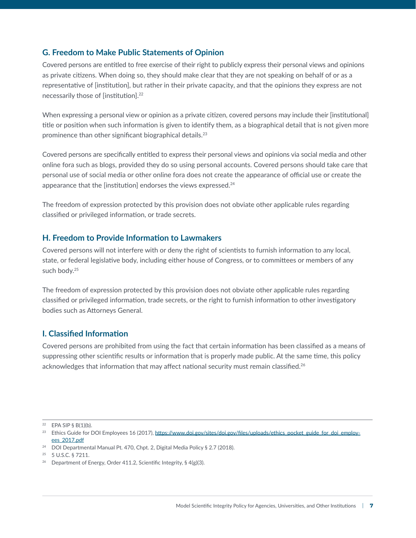#### **G. Freedom to Make Public Statements of Opinion**

Covered persons are entitled to free exercise of their right to publicly express their personal views and opinions as private citizens. When doing so, they should make clear that they are not speaking on behalf of or as a representative of [institution], but rather in their private capacity, and that the opinions they express are not necessarily those of [institution].22

When expressing a personal view or opinion as a private citizen, covered persons may include their [institutional] title or position when such information is given to identify them, as a biographical detail that is not given more prominence than other significant biographical details.23

Covered persons are specifically entitled to express their personal views and opinions via social media and other online fora such as blogs, provided they do so using personal accounts. Covered persons should take care that personal use of social media or other online fora does not create the appearance of official use or create the appearance that the [institution] endorses the views expressed.<sup>24</sup>

The freedom of expression protected by this provision does not obviate other applicable rules regarding classified or privileged information, or trade secrets.

#### **H. Freedom to Provide Information to Lawmakers**

Covered persons will not interfere with or deny the right of scientists to furnish information to any local, state, or federal legislative body, including either house of Congress, or to committees or members of any such body.<sup>25</sup>

The freedom of expression protected by this provision does not obviate other applicable rules regarding classified or privileged information, trade secrets, or the right to furnish information to other investigatory bodies such as Attorneys General.

#### **I. Classified Information**

Covered persons are prohibited from using the fact that certain information has been classified as a means of suppressing other scientific results or information that is properly made public. At the same time, this policy acknowledges that information that may affect national security must remain classified.<sup>26</sup>

 $22$  EPA SIP § B(1)(b).

<sup>&</sup>lt;sup>23</sup> Ethics Guide for DOI Employees 16 (2017), [https://www.doi.gov/sites/doi.gov/files/uploads/ethics\\_pocket\\_guide\\_for\\_doi\\_employ](https://www.doi.gov/sites/doi.gov/files/uploads/ethics_pocket_guide_for_doi_employees_2017.pdf)[ees\\_2017.pdf](https://www.doi.gov/sites/doi.gov/files/uploads/ethics_pocket_guide_for_doi_employees_2017.pdf)

<sup>24</sup> DOI Departmental Manual Pt. 470, Chpt. 2, Digital Media Policy § 2.7 (2018).

<sup>25 5</sup> U.S.C. § 7211.

<sup>&</sup>lt;sup>26</sup> Department of Energy, Order 411.2, Scientific Integrity, §  $4(g)(3)$ .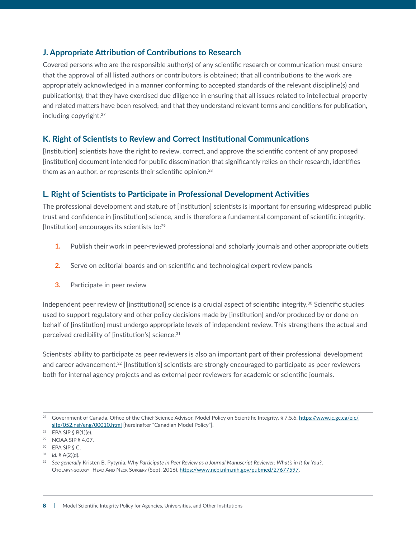#### **J. Appropriate Attribution of Contributions to Research**

Covered persons who are the responsible author(s) of any scientific research or communication must ensure that the approval of all listed authors or contributors is obtained; that all contributions to the work are appropriately acknowledged in a manner conforming to accepted standards of the relevant discipline(s) and publication(s); that they have exercised due diligence in ensuring that all issues related to intellectual property and related matters have been resolved; and that they understand relevant terms and conditions for publication, including copyright.27

#### **K. Right of Scientists to Review and Correct Institutional Communications**

[Institution] scientists have the right to review, correct, and approve the scientific content of any proposed [institution] document intended for public dissemination that significantly relies on their research, identifies them as an author, or represents their scientific opinion.<sup>28</sup>

#### **L. Right of Scientists to Participate in Professional Development Activities**

The professional development and stature of [institution] scientists is important for ensuring widespread public trust and confidence in [institution] science, and is therefore a fundamental component of scientific integrity. [Institution] encourages its scientists to:<sup>29</sup>

- **1.** Publish their work in peer-reviewed professional and scholarly journals and other appropriate outlets
- 2. Serve on editorial boards and on scientific and technological expert review panels
- **3.** Participate in peer review

Independent peer review of [institutional] science is a crucial aspect of scientific integrity.<sup>30</sup> Scientific studies used to support regulatory and other policy decisions made by [institution] and/or produced by or done on behalf of [institution] must undergo appropriate levels of independent review. This strengthens the actual and perceived credibility of [institution's] science.<sup>31</sup>

Scientists' ability to participate as peer reviewers is also an important part of their professional development and career advancement.<sup>32</sup> [Institution's] scientists are strongly encouraged to participate as peer reviewers both for internal agency projects and as external peer reviewers for academic or scientific journals.

<sup>&</sup>lt;sup>27</sup> Government of Canada, Office of the Chief Science Advisor, Model Policy on Scientific Integrity, § 7.5.6, [https://www.ic.gc.ca/eic/](https://www.ic.gc.ca/eic/site/052.nsf/eng/00010.html) [site/052.nsf/eng/00010.html](https://www.ic.gc.ca/eic/site/052.nsf/eng/00010.html) [hereinafter "Canadian Model Policy"].

<sup>28</sup> EPA SIP § B(1)(e).

<sup>29</sup> NOAA SIP § 4.07.

<sup>30</sup> EPA SIP § C.

<sup>31</sup> *Id.* § A(2)(d).

<sup>32</sup> *See generally* [Kristen B. Pytynia](https://journals.sagepub.com/action/doSearch?target=default&ContribAuthorStored=Pytynia%2C+Kristen+B), *Why Participate in Peer Review as a Journal Manuscript Reviewer: What's in It for You?*, Otolaryngology–Head And Neck Surgery (Sept. 2016), [https://www.ncbi.nlm.nih.gov/pubmed/27677597.](https://www.ncbi.nlm.nih.gov/pubmed/27677597)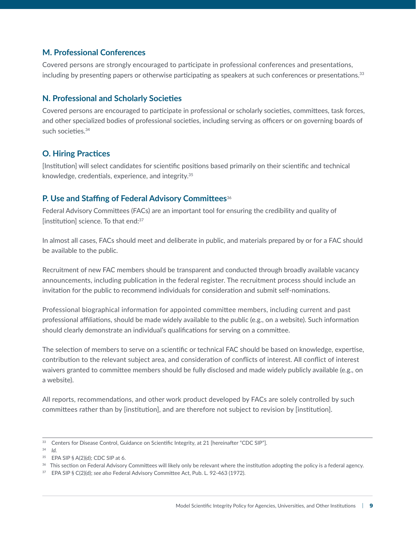#### **M. Professional Conferences**

Covered persons are strongly encouraged to participate in professional conferences and presentations, including by presenting papers or otherwise participating as speakers at such conferences or presentations.33

#### **N. Professional and Scholarly Societies**

Covered persons are encouraged to participate in professional or scholarly societies, committees, task forces, and other specialized bodies of professional societies, including serving as officers or on governing boards of such societies.<sup>34</sup>

#### **O. Hiring Practices**

[Institution] will select candidates for scientific positions based primarily on their scientific and technical knowledge, credentials, experience, and integrity.35

#### **P. Use and Staffing of Federal Advisory Committees**<sup>36</sup>

Federal Advisory Committees (FACs) are an important tool for ensuring the credibility and quality of [institution] science. To that end:<sup>37</sup>

In almost all cases, FACs should meet and deliberate in public, and materials prepared by or for a FAC should be available to the public.

Recruitment of new FAC members should be transparent and conducted through broadly available vacancy announcements, including publication in the federal register. The recruitment process should include an invitation for the public to recommend individuals for consideration and submit self-nominations.

Professional biographical information for appointed committee members, including current and past professional affiliations, should be made widely available to the public (e.g., on a website). Such information should clearly demonstrate an individual's qualifications for serving on a committee.

The selection of members to serve on a scientific or technical FAC should be based on knowledge, expertise, contribution to the relevant subject area, and consideration of conflicts of interest. All conflict of interest waivers granted to committee members should be fully disclosed and made widely publicly available (e.g., on a website).

All reports, recommendations, and other work product developed by FACs are solely controlled by such committees rather than by [institution], and are therefore not subject to revision by [institution].

<sup>&</sup>lt;sup>33</sup> Centers for Disease Control, Guidance on Scientific Integrity, at 21 [hereinafter "CDC SIP"].

<sup>34</sup> *Id.*

<sup>35</sup> EPA SIP § A(2)(d); CDC SIP at 6.

<sup>&</sup>lt;sup>36</sup> This section on Federal Advisory Committees will likely only be relevant where the institution adopting the policy is a federal agency.

<sup>37</sup> EPA SIP § C(2)(d); *see also* Federal Advisory Committee Act, Pub. L. 92-463 (1972).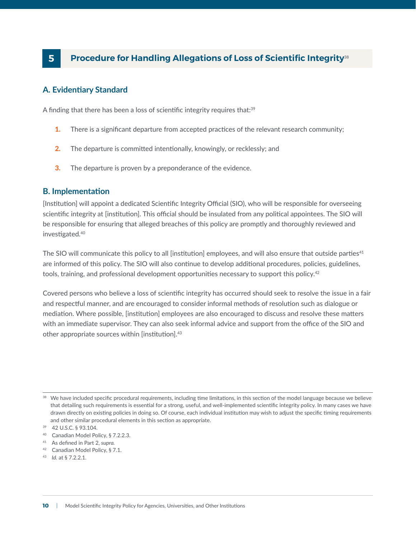## <span id="page-11-0"></span> **Procedure for Handling Allegations of Loss of Scientific Integrity<sup>38</sup>**

#### **A. Evidentiary Standard**

A finding that there has been a loss of scientific integrity requires that:<sup>39</sup>

- **1.** There is a significant departure from accepted practices of the relevant research community;
- 2. The departure is committed intentionally, knowingly, or recklessly; and
- **3.** The departure is proven by a preponderance of the evidence.

#### **B. Implementation**

[Institution] will appoint a dedicated Scientific Integrity Official (SIO), who will be responsible for overseeing scientific integrity at [institution]. This official should be insulated from any political appointees. The SIO will be responsible for ensuring that alleged breaches of this policy are promptly and thoroughly reviewed and investigated.40

The SIO will communicate this policy to all [institution] employees, and will also ensure that outside parties $41$ are informed of this policy. The SIO will also continue to develop additional procedures, policies, guidelines, tools, training, and professional development opportunities necessary to support this policy.<sup>42</sup>

Covered persons who believe a loss of scientific integrity has occurred should seek to resolve the issue in a fair and respectful manner, and are encouraged to consider informal methods of resolution such as dialogue or mediation. Where possible, [institution] employees are also encouraged to discuss and resolve these matters with an immediate supervisor. They can also seek informal advice and support from the office of the SIO and other appropriate sources within [institution].<sup>43</sup>

- 42 Canadian Model Policy, § 7.1.
- 43 *Id.* at § 7.2.2.1.

<sup>&</sup>lt;sup>38</sup> We have included specific procedural requirements, including time limitations, in this section of the model language because we believe that detailing such requirements is essential for a strong, useful, and well-implemented scientific integrity policy. In many cases we have drawn directly on existing policies in doing so. Of course, each individual institution may wish to adjust the specific timing requirements and other similar procedural elements in this section as appropriate.

<sup>39 42</sup> U.S.C. § 93.104.

<sup>&</sup>lt;sup>40</sup> Canadian Model Policy, § 7.2.2.3.

<sup>41</sup> As defined in Part 2, *supra.*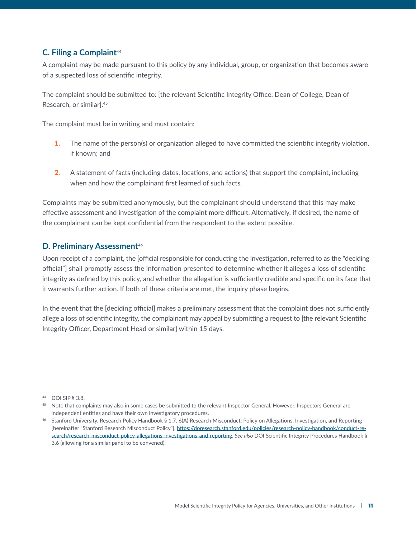### **C. Filing a Complaint**<sup>44</sup>

A complaint may be made pursuant to this policy by any individual, group, or organization that becomes aware of a suspected loss of scientific integrity.

The complaint should be submitted to: [the relevant Scientific Integrity Office, Dean of College, Dean of Research, or similar].<sup>45</sup>

The complaint must be in writing and must contain:

- **1.** The name of the person(s) or organization alleged to have committed the scientific integrity violation, if known; and
- 2. A statement of facts (including dates, locations, and actions) that support the complaint, including when and how the complainant first learned of such facts.

Complaints may be submitted anonymously, but the complainant should understand that this may make effective assessment and investigation of the complaint more difficult. Alternatively, if desired, the name of the complainant can be kept confidential from the respondent to the extent possible.

#### **D. Preliminary Assessment**<sup>46</sup>

Upon receipt of a complaint, the [official responsible for conducting the investigation, referred to as the "deciding official"] shall promptly assess the information presented to determine whether it alleges a loss of scientific integrity as defined by this policy, and whether the allegation is sufficiently credible and specific on its face that it warrants further action. If both of these criteria are met, the inquiry phase begins.

In the event that the [deciding official] makes a preliminary assessment that the complaint does not sufficiently allege a loss of scientific integrity, the complainant may appeal by submitting a request to [the relevant Scientific Integrity Officer, Department Head or similar] within 15 days.

<sup>44</sup> DOI SIP § 3.8.

<sup>&</sup>lt;sup>45</sup> Note that complaints may also in some cases be submitted to the relevant Inspector General. However, Inspectors General are independent entities and have their own investigatory procedures.

<sup>46</sup> Stanford University, Research Policy Handbook § 1.7, 6(A) Research Misconduct: Policy on Allegations, Investigation, and Reporting [hereinafter "Stanford Research Misconduct Policy"], [https://doresearch.stanford.edu/policies/research-policy-handbook/conduct-re](https://doresearch.stanford.edu/policies/research-policy-handbook/conduct-research/research-misconduct-policy-allegations-investigations-and-reporting)[search/research-misconduct-policy-allegations-investigations-and-reporting.](https://doresearch.stanford.edu/policies/research-policy-handbook/conduct-research/research-misconduct-policy-allegations-investigations-and-reporting) *See also* DOI Scientific Integrity Procedures Handbook § 3.6 (allowing for a similar panel to be convened).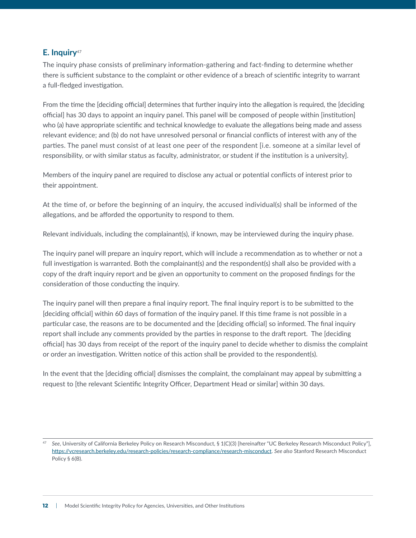#### **E. Inquiry**<sup>47</sup>

The inquiry phase consists of preliminary information-gathering and fact-finding to determine whether there is sufficient substance to the complaint or other evidence of a breach of scientific integrity to warrant a full-fledged investigation.

From the time the [deciding official] determines that further inquiry into the allegation is required, the [deciding official] has 30 days to appoint an inquiry panel. This panel will be composed of people within [institution] who (a) have appropriate scientific and technical knowledge to evaluate the allegations being made and assess relevant evidence; and (b) do not have unresolved personal or financial conflicts of interest with any of the parties. The panel must consist of at least one peer of the respondent [i.e. someone at a similar level of responsibility, or with similar status as faculty, administrator, or student if the institution is a university].

Members of the inquiry panel are required to disclose any actual or potential conflicts of interest prior to their appointment.

At the time of, or before the beginning of an inquiry, the accused individual(s) shall be informed of the allegations, and be afforded the opportunity to respond to them.

Relevant individuals, including the complainant(s), if known, may be interviewed during the inquiry phase.

The inquiry panel will prepare an inquiry report, which will include a recommendation as to whether or not a full investigation is warranted. Both the complainant(s) and the respondent(s) shall also be provided with a copy of the draft inquiry report and be given an opportunity to comment on the proposed findings for the consideration of those conducting the inquiry.

The inquiry panel will then prepare a final inquiry report. The final inquiry report is to be submitted to the [deciding official] within 60 days of formation of the inquiry panel. If this time frame is not possible in a particular case, the reasons are to be documented and the [deciding official] so informed. The final inquiry report shall include any comments provided by the parties in response to the draft report. The [deciding official] has 30 days from receipt of the report of the inquiry panel to decide whether to dismiss the complaint or order an investigation. Written notice of this action shall be provided to the respondent(s).

In the event that the [deciding official] dismisses the complaint, the complainant may appeal by submitting a request to [the relevant Scientific Integrity Officer, Department Head or similar] within 30 days.

<sup>47</sup> *See*, University of California Berkeley Policy on Research Misconduct, § 1(C)(3) [hereinafter "UC Berkeley Research Misconduct Policy"], [https://vcresearch.berkeley.edu/research-policies/research-compliance/research-misconduct.](https://vcresearch.berkeley.edu/research-policies/research-compliance/research-misconduct) *See also* Stanford Research Misconduct Policy § 6(B).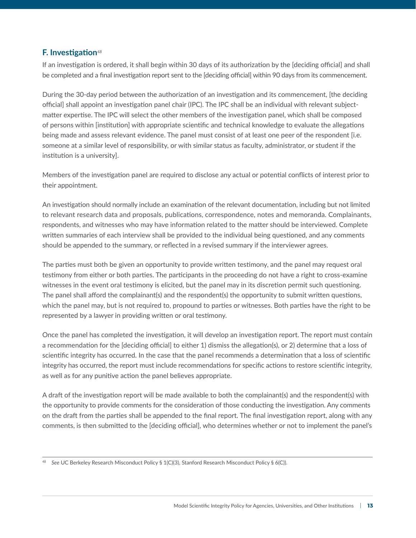#### **F. Investigation***<sup>48</sup>*

If an investigation is ordered, it shall begin within 30 days of its authorization by the [deciding official] and shall be completed and a final investigation report sent to the [deciding official] within 90 days from its commencement.

During the 30-day period between the authorization of an investigation and its commencement, [the deciding official] shall appoint an investigation panel chair (IPC). The IPC shall be an individual with relevant subjectmatter expertise. The IPC will select the other members of the investigation panel, which shall be composed of persons within [institution] with appropriate scientific and technical knowledge to evaluate the allegations being made and assess relevant evidence. The panel must consist of at least one peer of the respondent [i.e. someone at a similar level of responsibility, or with similar status as faculty, administrator, or student if the institution is a university].

Members of the investigation panel are required to disclose any actual or potential conflicts of interest prior to their appointment.

An investigation should normally include an examination of the relevant documentation, including but not limited to relevant research data and proposals, publications, correspondence, notes and memoranda. Complainants, respondents, and witnesses who may have information related to the matter should be interviewed. Complete written summaries of each interview shall be provided to the individual being questioned, and any comments should be appended to the summary, or reflected in a revised summary if the interviewer agrees.

The parties must both be given an opportunity to provide written testimony, and the panel may request oral testimony from either or both parties. The participants in the proceeding do not have a right to cross-examine witnesses in the event oral testimony is elicited, but the panel may in its discretion permit such questioning. The panel shall afford the complainant(s) and the respondent(s) the opportunity to submit written questions, which the panel may, but is not required to, propound to parties or witnesses. Both parties have the right to be represented by a lawyer in providing written or oral testimony.

Once the panel has completed the investigation, it will develop an investigation report. The report must contain a recommendation for the [deciding official] to either 1) dismiss the allegation(s), or 2) determine that a loss of scientific integrity has occurred. In the case that the panel recommends a determination that a loss of scientific integrity has occurred, the report must include recommendations for specific actions to restore scientific integrity, as well as for any punitive action the panel believes appropriate.

A draft of the investigation report will be made available to both the complainant(s) and the respondent(s) with the opportunity to provide comments for the consideration of those conducting the investigation. Any comments on the draft from the parties shall be appended to the final report. The final investigation report, along with any comments, is then submitted to the [deciding official], who determines whether or not to implement the panel's

<sup>48</sup> *See* UC Berkeley Research Misconduct Policy § 1(C)(3), Stanford Research Misconduct Policy § 6(C)).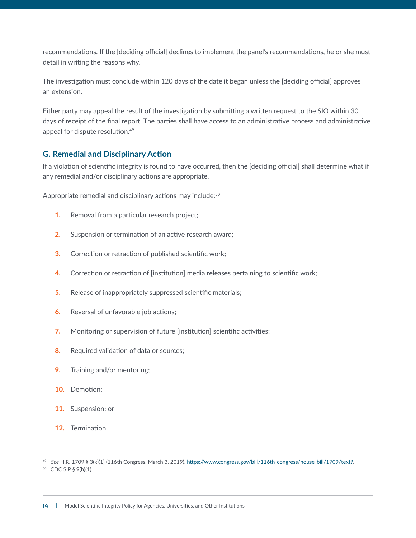recommendations. If the [deciding official] declines to implement the panel's recommendations, he or she must detail in writing the reasons why.

The investigation must conclude within 120 days of the date it began unless the [deciding official] approves an extension.

Either party may appeal the result of the investigation by submitting a written request to the SIO within 30 days of receipt of the final report. The parties shall have access to an administrative process and administrative appeal for dispute resolution.49

#### **G. Remedial and Disciplinary Action**

If a violation of scientific integrity is found to have occurred, then the [deciding official] shall determine what if any remedial and/or disciplinary actions are appropriate.

Appropriate remedial and disciplinary actions may include:<sup>50</sup>

- **1.** Removal from a particular research project;
- **2.** Suspension or termination of an active research award;
- **3.** Correction or retraction of published scientific work;
- 4. Correction or retraction of [institution] media releases pertaining to scientific work;
- **5.** Release of inappropriately suppressed scientific materials;
- **6.** Reversal of unfavorable job actions;
- **7.** Monitoring or supervision of future [institution] scientific activities;
- 8. Required validation of data or sources;
- 9. Training and/or mentoring;
- 10. Demotion;
- 11. Suspension; or
- 12. Termination.

<sup>49</sup> *See* H.R. 1709 § 3(k)(1) (116th Congress, March 3, 2019), https://www.congress.gov/bill/116th-congress/house-bill/1709/text?.

<sup>50</sup> CDC SIP § 9(h)(1).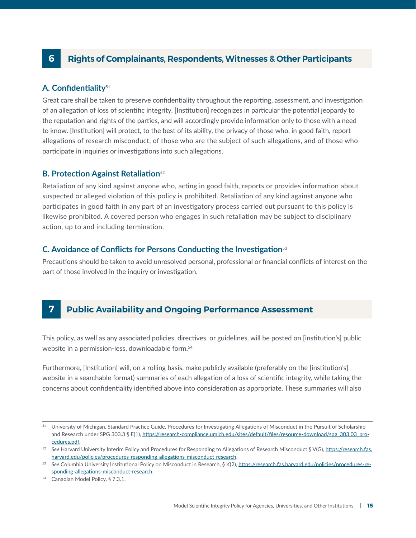## <span id="page-16-0"></span>**6 Rights of Complainants, Respondents, Witnesses & Other Participants**

#### **A. Confidentiality**<sup>51</sup>

Great care shall be taken to preserve confidentiality throughout the reporting, assessment, and investigation of an allegation of loss of scientific integrity. [Institution] recognizes in particular the potential jeopardy to the reputation and rights of the parties, and will accordingly provide information only to those with a need to know. [Institution] will protect, to the best of its ability, the privacy of those who, in good faith, report allegations of research misconduct, of those who are the subject of such allegations, and of those who participate in inquiries or investigations into such allegations.

#### **B. Protection Against Retaliation**<sup>52</sup>

Retaliation of any kind against anyone who, acting in good faith, reports or provides information about suspected or alleged violation of this policy is prohibited. Retaliation of any kind against anyone who participates in good faith in any part of an investigatory process carried out pursuant to this policy is likewise prohibited. A covered person who engages in such retaliation may be subject to disciplinary action, up to and including termination.

#### **C. Avoidance of Conflicts for Persons Conducting the Investigation**<sup>53</sup>

Precautions should be taken to avoid unresolved personal, professional or financial conflicts of interest on the part of those involved in the inquiry or investigation.

### **7 Public Availability and Ongoing Performance Assessment**

This policy, as well as any associated policies, directives, or guidelines, will be posted on [institution's] public website in a permission-less, downloadable form.<sup>54</sup>

Furthermore, [Institution] will, on a rolling basis, make publicly available (preferably on the [institution's] website in a searchable format) summaries of each allegation of a loss of scientific integrity, while taking the concerns about confidentiality identified above into consideration as appropriate. These summaries will also

<sup>51</sup> University of Michigan, Standard Practice Guide, Procedures for Investigating Allegations of Misconduct in the Pursuit of Scholarship and Research under SPG 303.3 § E(1), [https://research-compliance.umich.edu/sites/default/files/resource-download/spg\\_303.03\\_pro](https://research-compliance.umich.edu/sites/default/files/resource-download/spg_303.03_procedures.pdf)[cedures.pdf.](https://research-compliance.umich.edu/sites/default/files/resource-download/spg_303.03_procedures.pdf)

<sup>&</sup>lt;sup>52</sup> See Harvard University Interim Policy and Procedures for Responding to Allegations of Research Misconduct § V(G), [https://research.fas.](https://research.fas.harvard.edu/policies/procedures-responding-allegations-misconduct-research) [harvard.edu/policies/procedures-responding-allegations-misconduct-research.](https://research.fas.harvard.edu/policies/procedures-responding-allegations-misconduct-research)

<sup>53</sup> *See* Columbia University Institutional Policy on Misconduct in Research, § K(2), [https://research.fas.harvard.edu/policies/procedures-re](https://research.fas.harvard.edu/policies/procedures-responding-allegations-misconduct-research)[sponding-allegations-misconduct-research](https://research.fas.harvard.edu/policies/procedures-responding-allegations-misconduct-research).

<sup>54</sup> Canadian Model Policy, § 7.3.1.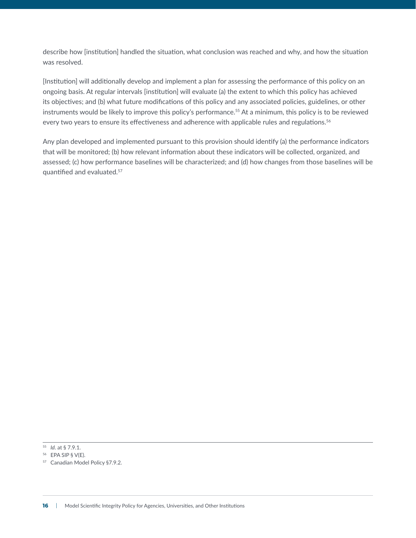describe how [institution] handled the situation, what conclusion was reached and why, and how the situation was resolved.

[Institution] will additionally develop and implement a plan for assessing the performance of this policy on an ongoing basis. At regular intervals [institution] will evaluate (a) the extent to which this policy has achieved its objectives; and (b) what future modifications of this policy and any associated policies, guidelines, or other instruments would be likely to improve this policy's performance.<sup>55</sup> At a minimum, this policy is to be reviewed every two years to ensure its effectiveness and adherence with applicable rules and regulations.<sup>56</sup>

Any plan developed and implemented pursuant to this provision should identify (a) the performance indicators that will be monitored; (b) how relevant information about these indicators will be collected, organized, and assessed; (c) how performance baselines will be characterized; and (d) how changes from those baselines will be quantified and evaluated.57

<sup>55</sup> *Id*. at § 7.9.1.

<sup>56</sup> EPA SIP § V(E).

<sup>57</sup> Canadian Model Policy §7.9.2.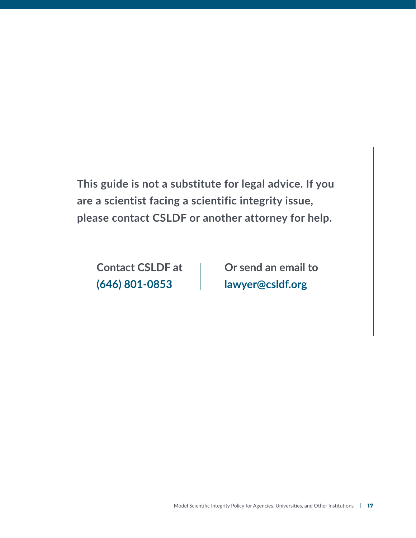**This guide is not a substitute for legal advice. If you are a scientist facing a scientific integrity issue, please contact CSLDF or another attorney for help.**

**Contact CSLDF at (646) 801-0853**

**Or send an email to [lawyer@csldf.org](mailto:lawyer%40csldf.org?subject=)**